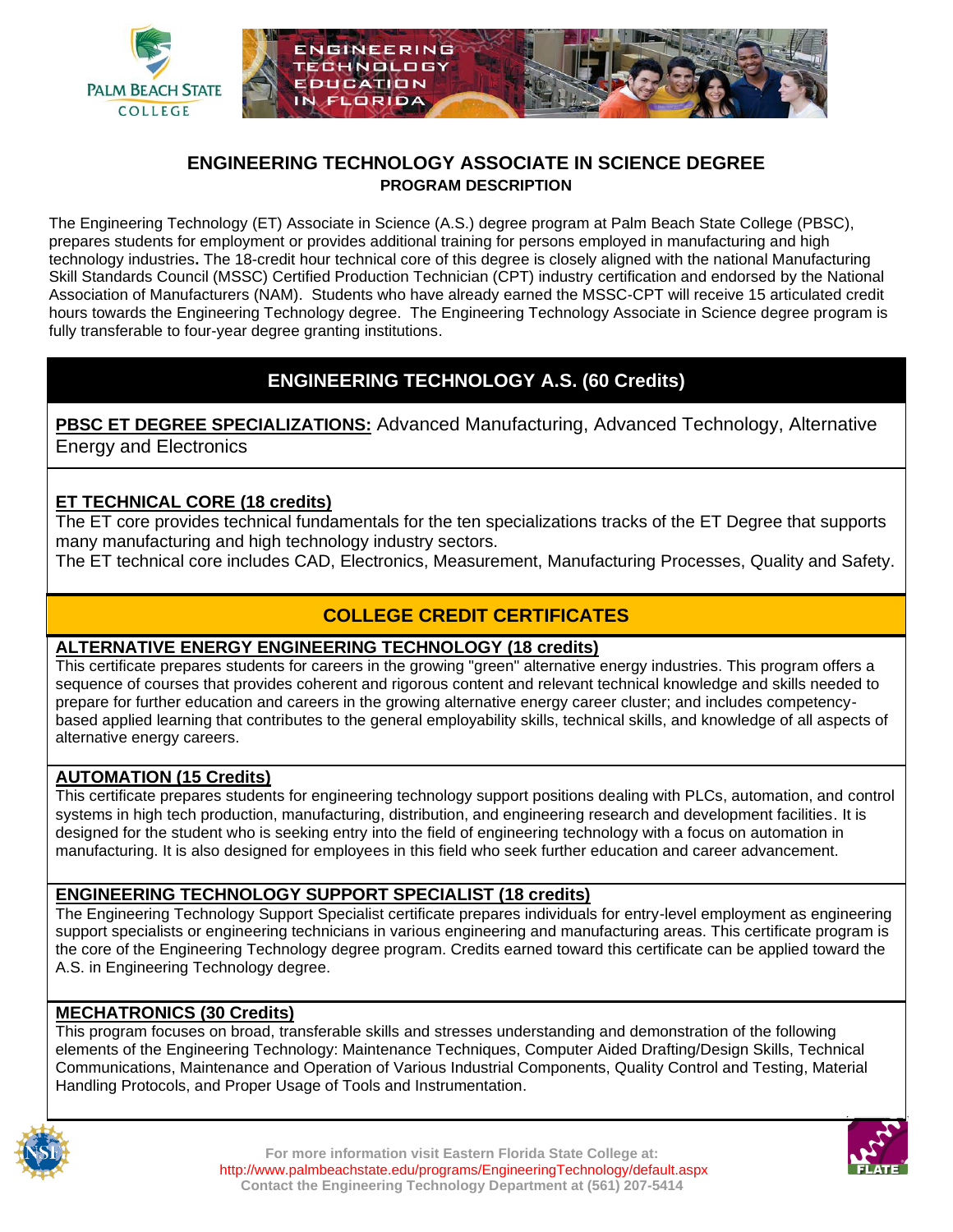

#### **ENGINEERING TECHNOLOGY ASSOCIATE IN SCIENCE DEGREE PROGRAM DESCRIPTION**

The Engineering Technology (ET) Associate in Science (A.S.) degree program at Palm Beach State College (PBSC), prepares students for employment or provides additional training for persons employed in manufacturing and high technology industries**.** The 18-credit hour technical core of this degree is closely aligned with the national Manufacturing Skill Standards Council (MSSC) Certified Production Technician (CPT) industry certification and endorsed by the National Association of Manufacturers (NAM). Students who have already earned the MSSC-CPT will receive 15 articulated credit hours towards the Engineering Technology degree. The Engineering Technology Associate in Science degree program is fully transferable to four-year degree granting institutions.

## **ENGINEERING TECHNOLOGY A.S. (60 Credits)**

**PBSC ET DEGREE SPECIALIZATIONS:** Advanced Manufacturing, Advanced Technology, Alternative Energy and Electronics

#### **ET TECHNICAL CORE (18 credits)**

The ET core provides technical fundamentals for the ten specializations tracks of the ET Degree that supports many manufacturing and high technology industry sectors.

The ET technical core includes CAD, Electronics, Measurement, Manufacturing Processes, Quality and Safety.

# **COLLEGE CREDIT CERTIFICATES**

#### **ALTERNATIVE ENERGY ENGINEERING TECHNOLOGY (18 credits)**

This certificate prepares students for careers in the growing "green" alternative energy industries. This program offers a sequence of courses that provides coherent and rigorous content and relevant technical knowledge and skills needed to prepare for further education and careers in the growing alternative energy career cluster; and includes competencybased applied learning that contributes to the general employability skills, technical skills, and knowledge of all aspects of alternative energy careers.

#### **AUTOMATION (15 Credits)**

This certificate prepares students for engineering technology support positions dealing with PLCs, automation, and control systems in high tech production, manufacturing, distribution, and engineering research and development facilities. It is designed for the student who is seeking entry into the field of engineering technology with a focus on automation in manufacturing. It is also designed for employees in this field who seek further education and career advancement.

#### **ENGINEERING TECHNOLOGY SUPPORT SPECIALIST (18 credits)**

The Engineering Technology Support Specialist certificate prepares individuals for entry-level employment as engineering support specialists or engineering technicians in various engineering and manufacturing areas. This certificate program is the core of the Engineering Technology degree program. Credits earned toward this certificate can be applied toward the A.S. in Engineering Technology degree.

#### **MECHATRONICS (30 Credits)**

This program focuses on broad, transferable skills and stresses understanding and demonstration of the following elements of the Engineering Technology: Maintenance Techniques, Computer Aided Drafting/Design Skills, Technical Communications, Maintenance and Operation of Various Industrial Components, Quality Control and Testing, Material Handling Protocols, and Proper Usage of Tools and Instrumentation.